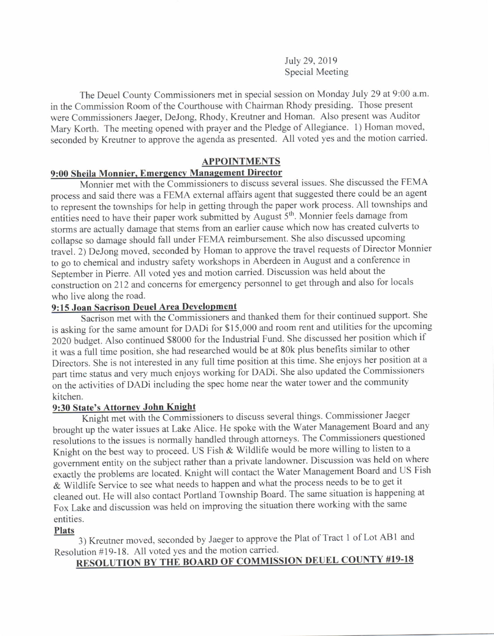July 29,2019 Special Meeting

The Deuel County Commissioners met in special session on Monday July 29 at 9:00 a.m. in the Commission Room of the Courthouse with Chairman Rhody presiding. Those present were Commissioners Jaeger, DeJong, Rhody, Kreutner and Homan. Also present was Auditor Mary Korth. The meeting opened with prayer and the Pledge of Allegiance. 1) Homan moved, seconded by Kreutner to approve the agenda as presented. All voted yes and the motion carried.

## APPOINTMENTS

# 9:00 Sheila Monnier, Emergency Management Director

Monnier met with the Commissioners to discuss several issues. She discussed the FEMA process and said there was a FEMA external affairs agent that suggested there could be an agent to represent the townships for help in getting through the paper work process. All townships and entities need to have their paper work submitted by August 5<sup>th</sup>. Monnier feels damage from storms are actually damage that stems from an earlier cause which now has created culverts to collapse so damage should fall under FEMA reimbursement. She also discussed upcoming travel. 2) DeJong moved, seconded by Homan to approve the travel requests of Director Monnier to go to chemical and industry safety workshops in Aberdeen in August and a conference in September in Piene. All voted yes and motion carried. Discussion was held about the construction on 212 and concems for emergency personnel to get though and also for locals who live along the road.

## 9:15 Joan Sacrison Deuel Area Development

Sacrison met with the Commissioners and thanked them for their continued support. She is asking for the same amount for DADi for \$15,000 and room rent and utilities for the upcoming 2020 budget. Also continued \$8000 for the Industrial Fund. She discussed her position which if it was a full time position, she had researched would be at 80k plus benefits similar to other Directors. She is not interested in any full time position at this time. She enjoys her position at <sup>a</sup> part timc status and very much enjoys working for DADi. She also updated the commissioners on the activities of DADi including the spec home near the water tower and the community kitchen.

#### 9:30 State's Attorney John Knight

Knight met with the Commissioners to discuss several things. Commissioner Jaeger brought up ihe water issues at Lake Alice. He spoke with the Water Management Board and any resolutions to the issues is normally handled through attomeys. The Commissioners questioned Knight on the best way to proceed. US Fish & Wildlife would be more willing to listen to <sup>a</sup> government entity on the subject rather than a private landowner. Discussion was held on where exactly the problems are located. Knight will contact the Water Management Board and US Fish & Wiidlife Service to see what needs to happen and what the process needs to be to get it cleaned out. He will also contact Portland Township Board. The same situation is happening at Fox Lake and discussion was held on improving the situation there working with the same entities.

### Plats

3) Kreutner moved, seconded by Jaeger to approve the Plat of Tract 1 of Lot AB1 and Resolution #19-18. All voted yes and the motion carried.<br>RESOLUTION BY THE BOARD OF COMMISSION DEUEL COUNTY #19-18